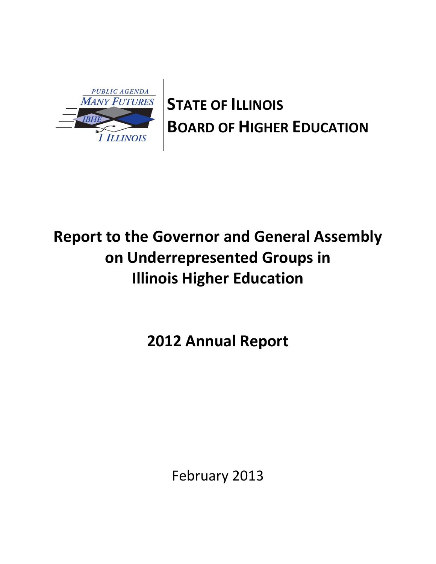

**STATE OF ILLINOIS BOARD OF HIGHER EDUCATION** 

# **Report to the Governor and General Assembly on Underrepresented Groups in Illinois Higher Education**

**2012 Annual Report**

February 2013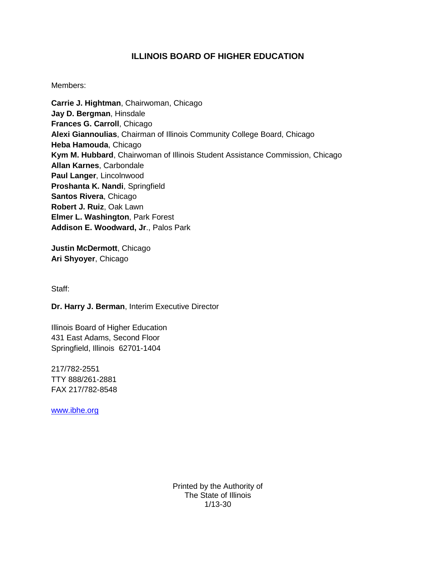# **ILLINOIS BOARD OF HIGHER EDUCATION**

## Members:

**Carrie J. Hightman**, Chairwoman, Chicago **Jay D. Bergman**, Hinsdale **Frances G. Carroll**, Chicago **Alexi Giannoulias**, Chairman of Illinois Community College Board, Chicago **Heba Hamouda**, Chicago **Kym M. Hubbard**, Chairwoman of Illinois Student Assistance Commission, Chicago **Allan Karnes**, Carbondale **Paul Langer**, Lincolnwood **Proshanta K. Nandi**, Springfield **Santos Rivera**, Chicago **Robert J. Ruiz**, Oak Lawn **Elmer L. Washington**, Park Forest **Addison E. Woodward, Jr**., Palos Park

**Justin McDermott**, Chicago **Ari Shyoyer**, Chicago

Staff:

**Dr. Harry J. Berman**, Interim Executive Director

Illinois Board of Higher Education 431 East Adams, Second Floor Springfield, Illinois 62701-1404

217/782-2551 TTY 888/261-2881 FAX 217/782-8548

[www.ibhe.org](http://www.ibhe.org/)

Printed by the Authority of The State of Illinois 1/13-30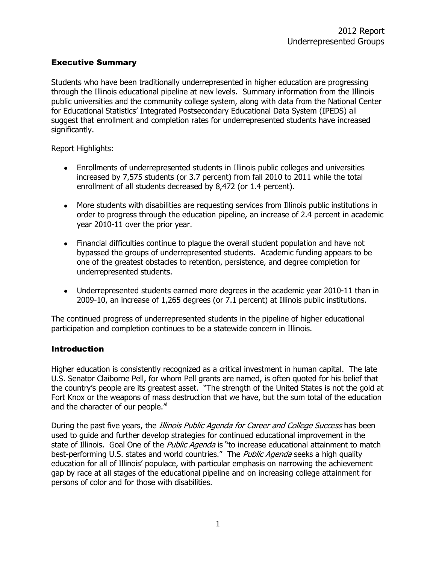## Executive Summary

Students who have been traditionally underrepresented in higher education are progressing through the Illinois educational pipeline at new levels. Summary information from the Illinois public universities and the community college system, along with data from the National Center for Educational Statistics' Integrated Postsecondary Educational Data System (IPEDS) all suggest that enrollment and completion rates for underrepresented students have increased significantly.

Report Highlights:

- Enrollments of underrepresented students in Illinois public colleges and universities increased by 7,575 students (or 3.7 percent) from fall 2010 to 2011 while the total enrollment of all students decreased by 8,472 (or 1.4 percent).
- More students with disabilities are requesting services from Illinois public institutions in order to progress through the education pipeline, an increase of 2.4 percent in academic year 2010-11 over the prior year.
- Financial difficulties continue to plague the overall student population and have not bypassed the groups of underrepresented students. Academic funding appears to be one of the greatest obstacles to retention, persistence, and degree completion for underrepresented students.
- Underrepresented students earned more degrees in the academic year 2010-11 than in 2009-10, an increase of 1,265 degrees (or 7.1 percent) at Illinois public institutions.

The continued progress of underrepresented students in the pipeline of higher educational participation and completion continues to be a statewide concern in Illinois.

# **Introduction**

Higher education is consistently recognized as a critical investment in human capital. The late U.S. Senator Claiborne Pell, for whom Pell grants are named, is often quoted for his belief that the country's people are its greatest asset. "The strength of the United States is not the gold at Fort Knox or the weapons of mass destruction that we have, but the sum total of the education and the character of our people."

During the past five years, the *Illinois Public Agenda for Career and College Success* has been used to guide and further develop strategies for continued educational improvement in the state of Illinois. Goal One of the *Public Agenda* is "to increase educational attainment to match best-performing U.S. states and world countries." The Public Agenda seeks a high quality education for all of Illinois' populace, with particular emphasis on narrowing the achievement gap by race at all stages of the educational pipeline and on increasing college attainment for persons of color and for those with disabilities.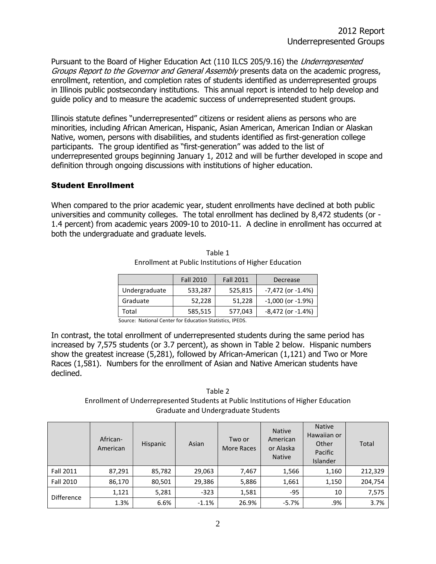Pursuant to the Board of Higher Education Act (110 ILCS 205/9.16) the *Underrepresented* Groups Report to the Governor and General Assembly presents data on the academic progress, enrollment, retention, and completion rates of students identified as underrepresented groups in Illinois public postsecondary institutions. This annual report is intended to help develop and guide policy and to measure the academic success of underrepresented student groups.

Illinois statute defines "underrepresented" citizens or resident aliens as persons who are minorities, including African American, Hispanic, Asian American, American Indian or Alaskan Native, women, persons with disabilities, and students identified as first-generation college participants. The group identified as "first-generation" was added to the list of underrepresented groups beginning January 1, 2012 and will be further developed in scope and definition through ongoing discussions with institutions of higher education.

## Student Enrollment

When compared to the prior academic year, student enrollments have declined at both public universities and community colleges. The total enrollment has declined by 8,472 students (or - 1.4 percent) from academic years 2009-10 to 2010-11. A decline in enrollment has occurred at both the undergraduate and graduate levels.

|               | <b>Fall 2010</b> | <b>Fall 2011</b> | Decrease               |
|---------------|------------------|------------------|------------------------|
| Undergraduate | 533,287          | 525,815          | $-7,472$ (or $-1.4%$ ) |
| Graduate      | 52,228           | 51,228           | $-1,000$ (or $-1.9%$ ) |
| Total         | 585,515          | 577,043          | $-8,472$ (or $-1.4%$ ) |

Table 1 Enrollment at Public Institutions of Higher Education

Source: National Center for Education Statistics, IPEDS.

In contrast, the total enrollment of underrepresented students during the same period has increased by 7,575 students (or 3.7 percent), as shown in Table 2 below. Hispanic numbers show the greatest increase (5,281), followed by African-American (1,121) and Two or More Races (1,581). Numbers for the enrollment of Asian and Native American students have declined.

Table 2 Enrollment of Underrepresented Students at Public Institutions of Higher Education Graduate and Undergraduate Students

|                   | African-<br>American | Hispanic | Asian   | Two or<br>More Races | <b>Native</b><br>American<br>or Alaska<br><b>Native</b> | <b>Native</b><br>Hawaiian or<br>Other<br>Pacific<br><b>Islander</b> | Total   |
|-------------------|----------------------|----------|---------|----------------------|---------------------------------------------------------|---------------------------------------------------------------------|---------|
| <b>Fall 2011</b>  | 87,291               | 85,782   | 29,063  | 7,467                | 1,566                                                   | 1,160                                                               | 212,329 |
| <b>Fall 2010</b>  | 86,170               | 80,501   | 29,386  | 5,886                | 1,661                                                   | 1,150                                                               | 204,754 |
| <b>Difference</b> | 1,121                | 5,281    | $-323$  | 1,581                | $-95$                                                   | 10                                                                  | 7,575   |
|                   | 1.3%                 | 6.6%     | $-1.1%$ | 26.9%                | $-5.7%$                                                 | .9%                                                                 | 3.7%    |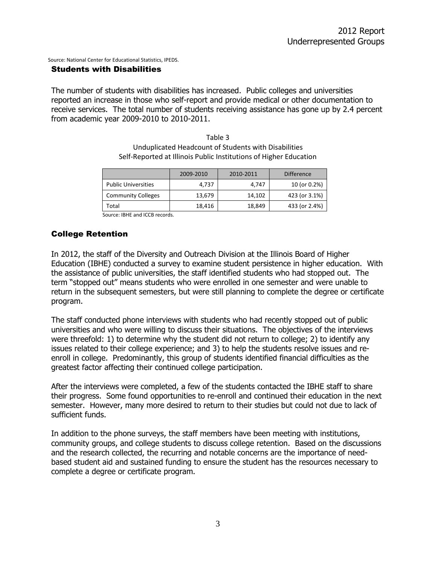Source: National Center for Educational Statistics, IPEDS.

#### Students with Disabilities

The number of students with disabilities has increased. Public colleges and universities reported an increase in those who self-report and provide medical or other documentation to receive services. The total number of students receiving assistance has gone up by 2.4 percent from academic year 2009-2010 to 2010-2011.

> Table 3 Unduplicated Headcount of Students with Disabilities Self-Reported at Illinois Public Institutions of Higher Education

|                            | 2009-2010 | 2010-2011 | <b>Difference</b> |
|----------------------------|-----------|-----------|-------------------|
| <b>Public Universities</b> | 4.737     | 4.747     | 10 (or 0.2%)      |
| <b>Community Colleges</b>  | 13,679    | 14,102    | 423 (or 3.1%)     |
| Total                      | 18.416    | 18,849    | 433 (or 2.4%)     |

Source: IBHE and ICCB records.

### College Retention

In 2012, the staff of the Diversity and Outreach Division at the Illinois Board of Higher Education (IBHE) conducted a survey to examine student persistence in higher education. With the assistance of public universities, the staff identified students who had stopped out. The term "stopped out" means students who were enrolled in one semester and were unable to return in the subsequent semesters, but were still planning to complete the degree or certificate program.

The staff conducted phone interviews with students who had recently stopped out of public universities and who were willing to discuss their situations. The objectives of the interviews were threefold: 1) to determine why the student did not return to college; 2) to identify any issues related to their college experience; and 3) to help the students resolve issues and reenroll in college. Predominantly, this group of students identified financial difficulties as the greatest factor affecting their continued college participation.

After the interviews were completed, a few of the students contacted the IBHE staff to share their progress. Some found opportunities to re-enroll and continued their education in the next semester. However, many more desired to return to their studies but could not due to lack of sufficient funds.

In addition to the phone surveys, the staff members have been meeting with institutions, community groups, and college students to discuss college retention. Based on the discussions and the research collected, the recurring and notable concerns are the importance of needbased student aid and sustained funding to ensure the student has the resources necessary to complete a degree or certificate program.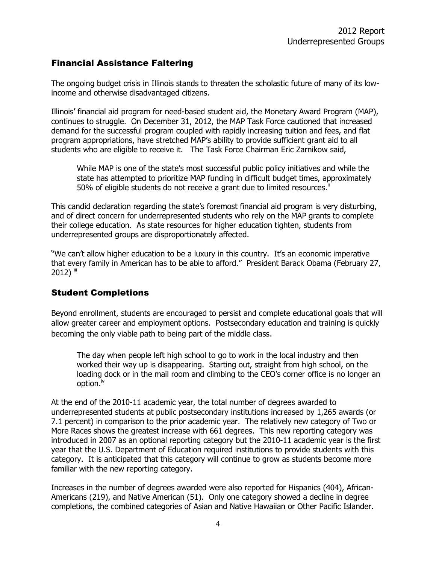# Financial Assistance Faltering

The ongoing budget crisis in Illinois stands to threaten the scholastic future of many of its lowincome and otherwise disadvantaged citizens.

Illinois' financial aid program for need-based student aid, the Monetary Award Program (MAP), continues to struggle. On December 31, 2012, the MAP Task Force cautioned that increased demand for the successful program coupled with rapidly increasing tuition and fees, and flat program appropriations, have stretched MAP's ability to provide sufficient grant aid to all students who are eligible to receive it. The Task Force Chairman Eric Zarnikow said,

While MAP is one of the state's most successful public policy initiatives and while the state has attempted to prioritize MAP funding in difficult budget times, approximately 50% of eligible students do not receive a grant due to limited resources.<sup>"</sup>

This candid declaration regarding the state's foremost financial aid program is very disturbing, and of direct concern for underrepresented students who rely on the MAP grants to complete their college education. As state resources for higher education tighten, students from underrepresented groups are disproportionately affected.

"We can't allow higher education to be a luxury in this country. It's an economic imperative that every family in American has to be able to afford." President Barack Obama (February 27,  $2012)$  iii

# Student Completions

Beyond enrollment, students are encouraged to persist and complete educational goals that will allow greater career and employment options. Postsecondary education and training is quickly becoming the only viable path to being part of the middle class.

The day when people left high school to go to work in the local industry and then worked their way up is disappearing. Starting out, straight from high school, on the loading dock or in the mail room and climbing to the CEO's corner office is no longer an option. $^{\sf iv}$ 

At the end of the 2010-11 academic year, the total number of degrees awarded to underrepresented students at public postsecondary institutions increased by 1,265 awards (or 7.1 percent) in comparison to the prior academic year. The relatively new category of Two or More Races shows the greatest increase with 661 degrees. This new reporting category was introduced in 2007 as an optional reporting category but the 2010-11 academic year is the first year that the U.S. Department of Education required institutions to provide students with this category. It is anticipated that this category will continue to grow as students become more familiar with the new reporting category.

Increases in the number of degrees awarded were also reported for Hispanics (404), African-Americans (219), and Native American (51). Only one category showed a decline in degree completions, the combined categories of Asian and Native Hawaiian or Other Pacific Islander.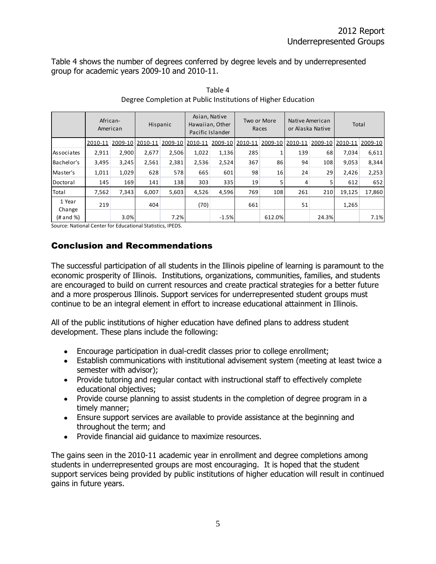Table 4 shows the number of degrees conferred by degree levels and by underrepresented group for academic years 2009-10 and 2010-11.

|                  | African-<br>American |       |                 | Asian, Native<br>Hawaiian, Other<br>Hispanic<br>Pacific Islander |         | Two or More<br>Races |                 | Native American<br>or Alaska Native |         | Total   |         |         |
|------------------|----------------------|-------|-----------------|------------------------------------------------------------------|---------|----------------------|-----------------|-------------------------------------|---------|---------|---------|---------|
|                  | 2010-11              |       | 2009-10 2010-11 | 2009-10                                                          | 2010-11 |                      | 2009-10 2010-11 | 2009-10                             | 2010-11 | 2009-10 | 2010-11 | 2009-10 |
| Associates       | 2,911                | 2,900 | 2,677           | 2,506                                                            | 1,022   | 1,136                | 285             |                                     | 139     | 68      | 7,034   | 6,611   |
| Bachelor's       | 3,495                | 3,245 | 2,561           | 2,381                                                            | 2,536   | 2,524                | 367             | 86                                  | 94      | 108     | 9,053   | 8,344   |
| Master's         | 1,011                | 1,029 | 628             | 578                                                              | 665     | 601                  | 98              | 16                                  | 24      | 29      | 2,426   | 2,253   |
| Doctoral         | 145                  | 169   | 141             | 138                                                              | 303     | 335                  | 19              | 5                                   | 4       | 5       | 612     | 652     |
| Total            | 7,562                | 7,343 | 6.007           | 5,603                                                            | 4,526   | 4,596                | 769             | 108                                 | 261     | 210     | 19,125  | 17,860  |
| 1 Year<br>Change | 219                  |       | 404             |                                                                  | (70)    |                      | 661             |                                     | 51      |         | 1,265   |         |
| (# and %)        |                      | 3.0%  |                 | 7.2%                                                             |         | $-1.5%$              |                 | 612.0%                              |         | 24.3%   |         | 7.1%    |

Table 4 Degree Completion at Public Institutions of Higher Education

Source: National Center for Educational Statistics, IPEDS.

# Conclusion and Recommendations

The successful participation of all students in the Illinois pipeline of learning is paramount to the economic prosperity of Illinois. Institutions, organizations, communities, families, and students are encouraged to build on current resources and create practical strategies for a better future and a more prosperous Illinois. Support services for underrepresented student groups must continue to be an integral element in effort to increase educational attainment in Illinois.

All of the public institutions of higher education have defined plans to address student development. These plans include the following:

- Encourage participation in dual-credit classes prior to college enrollment;
- Establish communications with institutional advisement system (meeting at least twice a semester with advisor);
- Provide tutoring and regular contact with instructional staff to effectively complete educational objectives;
- Provide course planning to assist students in the completion of degree program in a timely manner;
- Ensure support services are available to provide assistance at the beginning and throughout the term; and
- Provide financial aid guidance to maximize resources.

The gains seen in the 2010-11 academic year in enrollment and degree completions among students in underrepresented groups are most encouraging. It is hoped that the student support services being provided by public institutions of higher education will result in continued gains in future years.